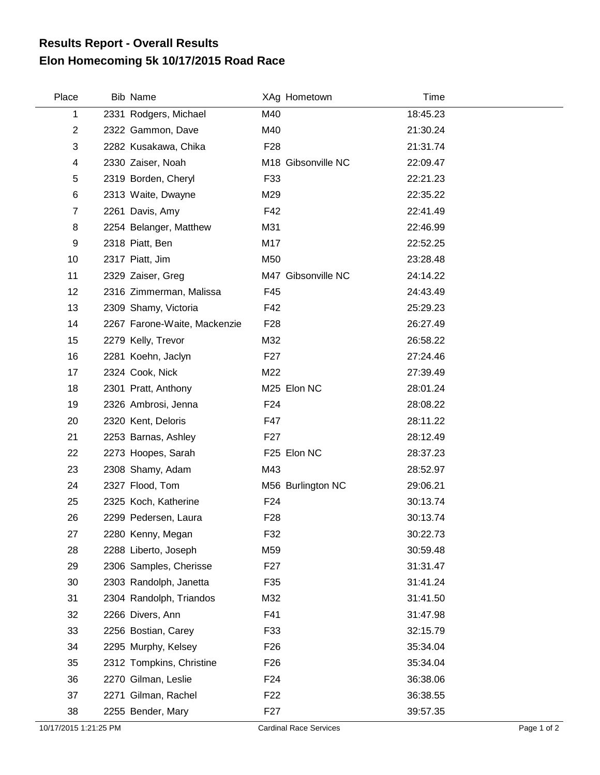## **Elon Homecoming 5k 10/17/2015 Road Race Results Report - Overall Results**

| Place          | <b>Bib Name</b>              |                 | XAg Hometown       | Time     |
|----------------|------------------------------|-----------------|--------------------|----------|
| 1              | 2331 Rodgers, Michael        | M40             |                    | 18:45.23 |
| $\overline{2}$ | 2322 Gammon, Dave            | M40             |                    | 21:30.24 |
| 3              | 2282 Kusakawa, Chika         | F <sub>28</sub> |                    | 21:31.74 |
| 4              | 2330 Zaiser, Noah            |                 | M18 Gibsonville NC | 22:09.47 |
| 5              | 2319 Borden, Cheryl          | F33             |                    | 22:21.23 |
| 6              | 2313 Waite, Dwayne           | M29             |                    | 22:35.22 |
| $\overline{7}$ | 2261 Davis, Amy              | F42             |                    | 22:41.49 |
| 8              | 2254 Belanger, Matthew       | M31             |                    | 22:46.99 |
| 9              | 2318 Piatt, Ben              | M17             |                    | 22:52.25 |
| 10             | 2317 Piatt, Jim              | M50             |                    | 23:28.48 |
| 11             | 2329 Zaiser, Greg            |                 | M47 Gibsonville NC | 24:14.22 |
| 12             | 2316 Zimmerman, Malissa      | F45             |                    | 24:43.49 |
| 13             | 2309 Shamy, Victoria         | F42             |                    | 25:29.23 |
| 14             | 2267 Farone-Waite, Mackenzie | F <sub>28</sub> |                    | 26:27.49 |
| 15             | 2279 Kelly, Trevor           | M32             |                    | 26:58.22 |
| 16             | 2281 Koehn, Jaclyn           | F <sub>27</sub> |                    | 27:24.46 |
| 17             | 2324 Cook, Nick              | M22             |                    | 27:39.49 |
| 18             | 2301 Pratt, Anthony          |                 | M25 Elon NC        | 28:01.24 |
| 19             | 2326 Ambrosi, Jenna          | F <sub>24</sub> |                    | 28:08.22 |
| 20             | 2320 Kent, Deloris           | F47             |                    | 28:11.22 |
| 21             | 2253 Barnas, Ashley          | F <sub>27</sub> |                    | 28:12.49 |
| 22             | 2273 Hoopes, Sarah           |                 | F25 Elon NC        | 28:37.23 |
| 23             | 2308 Shamy, Adam             | M43             |                    | 28:52.97 |
| 24             | 2327 Flood, Tom              |                 | M56 Burlington NC  | 29:06.21 |
| 25             | 2325 Koch, Katherine         | F <sub>24</sub> |                    | 30:13.74 |
| 26             | 2299 Pedersen, Laura         | F <sub>28</sub> |                    | 30:13.74 |
| 27             | 2280 Kenny, Megan            | F32             |                    | 30:22.73 |
| 28             | 2288 Liberto, Joseph         | M59             |                    | 30:59.48 |
| 29             | 2306 Samples, Cherisse       | F <sub>27</sub> |                    | 31:31.47 |
| 30             | 2303 Randolph, Janetta       | F35             |                    | 31:41.24 |
| 31             | 2304 Randolph, Triandos      | M32             |                    | 31:41.50 |
| 32             | 2266 Divers, Ann             | F41             |                    | 31:47.98 |
| 33             | 2256 Bostian, Carey          | F33             |                    | 32:15.79 |
| 34             | 2295 Murphy, Kelsey          | F <sub>26</sub> |                    | 35:34.04 |
| 35             | 2312 Tompkins, Christine     | F <sub>26</sub> |                    | 35:34.04 |
| 36             | 2270 Gilman, Leslie          | F <sub>24</sub> |                    | 36:38.06 |
| 37             | 2271 Gilman, Rachel          | F <sub>22</sub> |                    | 36:38.55 |
| 38             | 2255 Bender, Mary            | F <sub>27</sub> |                    | 39:57.35 |